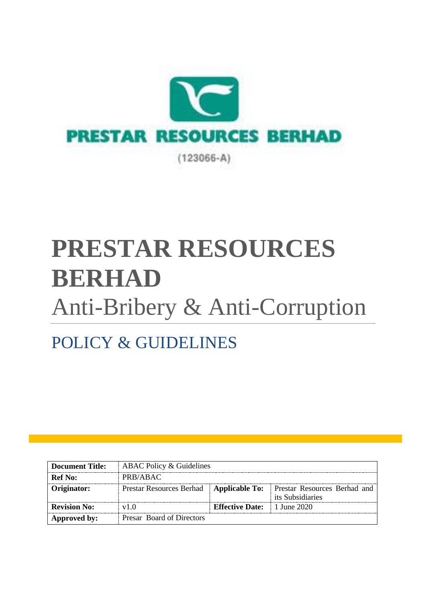

# **PRESTAR RESOURCES BERHAD** Anti-Bribery & Anti-Corruption

# POLICY & GUIDELINES

| <b>Document Title:</b> | ABAC Policy & Guidelines  |                                                |                                                                                              |
|------------------------|---------------------------|------------------------------------------------|----------------------------------------------------------------------------------------------|
| <b>Ref</b> No:         | PRB/ABAC                  |                                                |                                                                                              |
| Originator:            |                           |                                                | Prestar Resources Berhad   Applicable To:   Prestar Resources Berhad and<br>its Subsidiaries |
| <b>Revision No:</b>    | v1.0                      | <b>Effective Date:</b> $\parallel$ 1 June 2020 |                                                                                              |
| Approved by:           | Presar Board of Directors |                                                |                                                                                              |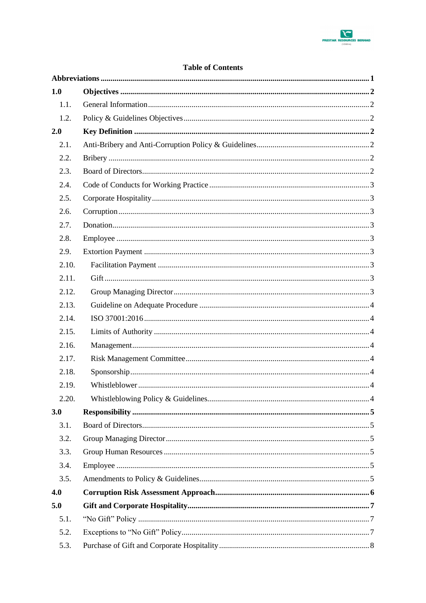

#### **Table of Contents**

| 1.0   |  |
|-------|--|
| 1.1.  |  |
| 1.2.  |  |
| 2.0   |  |
| 2.1.  |  |
| 2.2.  |  |
| 2.3.  |  |
| 2.4.  |  |
| 2.5.  |  |
| 2.6.  |  |
| 2.7.  |  |
| 2.8.  |  |
| 2.9.  |  |
| 2.10. |  |
| 2.11. |  |
| 2.12. |  |
| 2.13. |  |
| 2.14. |  |
| 2.15. |  |
| 2.16. |  |
| 2.17. |  |
| 2.18. |  |
| 2.19. |  |
| 2.20. |  |
| 3.0   |  |
| 3.1.  |  |
| 3.2.  |  |
| 3.3.  |  |
| 3.4.  |  |
| 3.5.  |  |
| 4.0   |  |
| 5.0   |  |
| 5.1.  |  |
| 5.2.  |  |
| 5.3.  |  |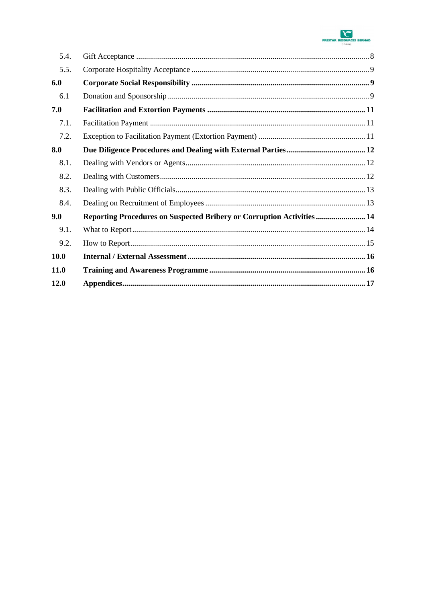

| 5.4.        |                                                                        |  |
|-------------|------------------------------------------------------------------------|--|
| 5.5.        |                                                                        |  |
| 6.0         |                                                                        |  |
| 6.1         |                                                                        |  |
| 7.0         |                                                                        |  |
| 7.1.        |                                                                        |  |
| 7.2.        |                                                                        |  |
| 8.0         |                                                                        |  |
| 8.1.        |                                                                        |  |
| 8.2.        |                                                                        |  |
| 8.3.        |                                                                        |  |
| 8.4.        |                                                                        |  |
| 9.0         | Reporting Procedures on Suspected Bribery or Corruption Activities  14 |  |
| 9.1.        |                                                                        |  |
| 9.2.        |                                                                        |  |
| <b>10.0</b> |                                                                        |  |
| <b>11.0</b> |                                                                        |  |
| 12.0        |                                                                        |  |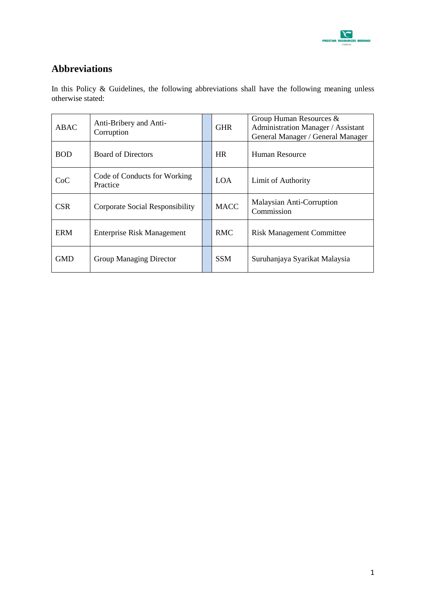

### <span id="page-3-0"></span>**Abbreviations**

In this Policy & Guidelines, the following abbreviations shall have the following meaning unless otherwise stated:

| ABAC       | Anti-Bribery and Anti-<br>Corruption     | <b>GHR</b>  | Group Human Resources &<br>Administration Manager / Assistant<br>General Manager / General Manager |
|------------|------------------------------------------|-------------|----------------------------------------------------------------------------------------------------|
| <b>BOD</b> | <b>Board of Directors</b>                | HR.         | Human Resource                                                                                     |
| CoC        | Code of Conducts for Working<br>Practice | <b>LOA</b>  | Limit of Authority                                                                                 |
| <b>CSR</b> | Corporate Social Responsibility          | <b>MACC</b> | Malaysian Anti-Corruption<br>Commission                                                            |
| ERM        | <b>Enterprise Risk Management</b>        | <b>RMC</b>  | <b>Risk Management Committee</b>                                                                   |
| GMD        | <b>Group Managing Director</b>           | <b>SSM</b>  | Suruhanjaya Syarikat Malaysia                                                                      |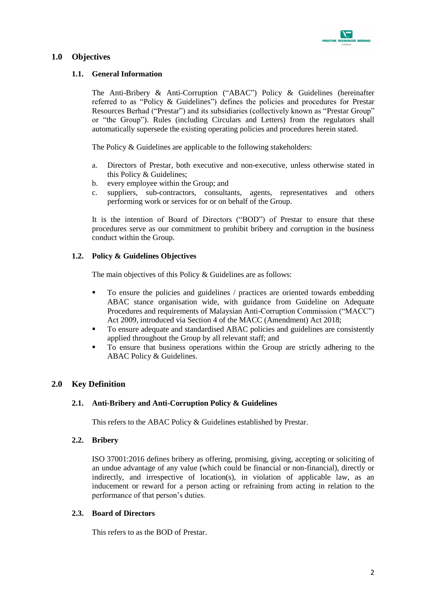

#### <span id="page-4-1"></span><span id="page-4-0"></span>**1.0 Objectives**

#### **1.1. General Information**

The Anti-Bribery & Anti-Corruption ("ABAC") Policy & Guidelines (hereinafter referred to as "Policy & Guidelines") defines the policies and procedures for Prestar Resources Berhad ("Prestar") and its subsidiaries (collectively known as "Prestar Group" or "the Group"). Rules (including Circulars and Letters) from the regulators shall automatically supersede the existing operating policies and procedures herein stated.

The Policy & Guidelines are applicable to the following stakeholders:

- a. Directors of Prestar, both executive and non-executive, unless otherwise stated in this Policy & Guidelines;
- b. every employee within the Group; and
- c. suppliers, sub-contractors, consultants, agents, representatives and others performing work or services for or on behalf of the Group.

It is the intention of Board of Directors ("BOD") of Prestar to ensure that these procedures serve as our commitment to prohibit bribery and corruption in the business conduct within the Group.

#### <span id="page-4-2"></span>**1.2. Policy & Guidelines Objectives**

The main objectives of this Policy & Guidelines are as follows:

- To ensure the policies and guidelines / practices are oriented towards embedding ABAC stance organisation wide, with guidance from Guideline on Adequate Procedures and requirements of Malaysian Anti-Corruption Commission ("MACC") Act 2009, introduced via Section 4 of the MACC (Amendment) Act 2018;
- To ensure adequate and standardised ABAC policies and guidelines are consistently applied throughout the Group by all relevant staff; and
- To ensure that business operations within the Group are strictly adhering to the ABAC Policy & Guidelines.

#### <span id="page-4-4"></span><span id="page-4-3"></span>**2.0 Key Definition**

#### **2.1. Anti-Bribery and Anti-Corruption Policy & Guidelines**

This refers to the ABAC Policy & Guidelines established by Prestar.

#### <span id="page-4-5"></span>**2.2. Bribery**

ISO 37001:2016 defines bribery as offering, promising, giving, accepting or soliciting of an undue advantage of any value (which could be financial or non-financial), directly or indirectly, and irrespective of location(s), in violation of applicable law, as an inducement or reward for a person acting or refraining from acting in relation to the performance of that person's duties.

#### <span id="page-4-6"></span>**2.3. Board of Directors**

This refers to as the BOD of Prestar.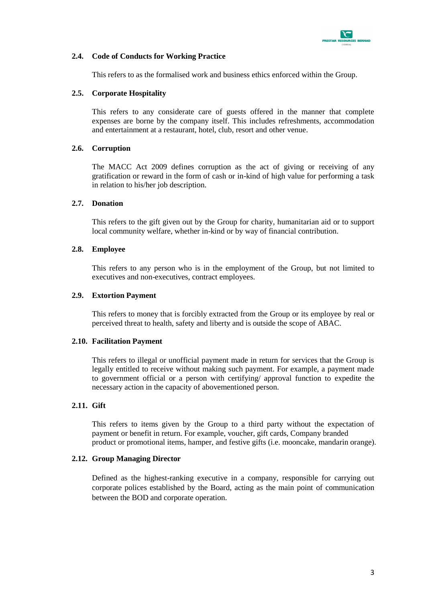

#### <span id="page-5-0"></span>**2.4. Code of Conducts for Working Practice**

This refers to as the formalised work and business ethics enforced within the Group.

#### <span id="page-5-1"></span>**2.5. Corporate Hospitality**

This refers to any considerate care of guests offered in the manner that complete expenses are borne by the company itself. This includes refreshments, accommodation and entertainment at a restaurant, hotel, club, resort and other venue.

#### <span id="page-5-2"></span>**2.6. Corruption**

The MACC Act 2009 defines corruption as the act of giving or receiving of any gratification or reward in the form of cash or in-kind of high value for performing a task in relation to his/her job description.

#### <span id="page-5-3"></span>**2.7. Donation**

This refers to the gift given out by the Group for charity, humanitarian aid or to support local community welfare, whether in-kind or by way of financial contribution.

#### <span id="page-5-4"></span>**2.8. Employee**

This refers to any person who is in the employment of the Group, but not limited to executives and non-executives, contract employees.

#### <span id="page-5-5"></span>**2.9. Extortion Payment**

This refers to money that is forcibly extracted from the Group or its employee by real or perceived threat to health, safety and liberty and is outside the scope of ABAC.

#### <span id="page-5-6"></span>**2.10. Facilitation Payment**

This refers to illegal or unofficial payment made in return for services that the Group is legally entitled to receive without making such payment. For example, a payment made to government official or a person with certifying/ approval function to expedite the necessary action in the capacity of abovementioned person.

#### <span id="page-5-7"></span>**2.11. Gift**

This refers to items given by the Group to a third party without the expectation of payment or benefit in return. For example, voucher, gift cards, Company branded product or promotional items, hamper, and festive gifts (i.e. mooncake, mandarin orange).

#### <span id="page-5-8"></span>**2.12. Group Managing Director**

Defined as the highest-ranking executive in a company, responsible for carrying out corporate polices established by the Board, acting as the main point of communication between the BOD and corporate operation.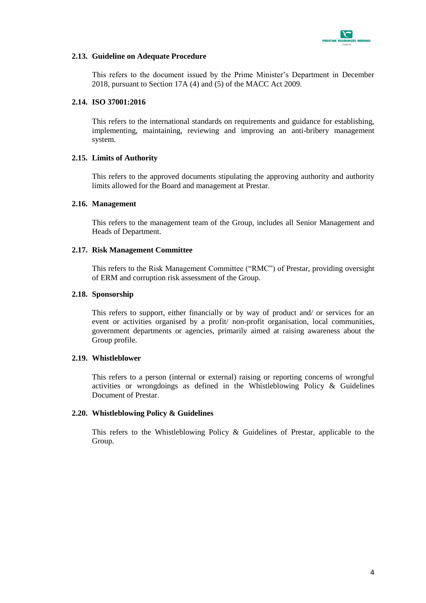

#### <span id="page-6-0"></span>**2.13. Guideline on Adequate Procedure**

This refers to the document issued by the Prime Minister's Department in December 2018, pursuant to Section 17A (4) and (5) of the MACC Act 2009.

#### <span id="page-6-1"></span>**2.14. ISO 37001:2016**

This refers to the international standards on requirements and guidance for establishing, implementing, maintaining, reviewing and improving an anti-bribery management system.

#### <span id="page-6-2"></span>**2.15. Limits of Authority**

This refers to the approved documents stipulating the approving authority and authority limits allowed for the Board and management at Prestar.

#### <span id="page-6-3"></span>**2.16. Management**

This refers to the management team of the Group, includes all Senior Management and Heads of Department.

#### <span id="page-6-4"></span>**2.17. Risk Management Committee**

This refers to the Risk Management Committee ("RMC") of Prestar, providing oversight of ERM and corruption risk assessment of the Group.

#### <span id="page-6-5"></span>**2.18. Sponsorship**

This refers to support, either financially or by way of product and/ or services for an event or activities organised by a profit/ non-profit organisation, local communities, government departments or agencies, primarily aimed at raising awareness about the Group profile.

#### <span id="page-6-6"></span>**2.19. Whistleblower**

This refers to a person (internal or external) raising or reporting concerns of wrongful activities or wrongdoings as defined in the Whistleblowing Policy & Guidelines Document of Prestar.

#### <span id="page-6-7"></span>**2.20. Whistleblowing Policy & Guidelines**

This refers to the Whistleblowing Policy & Guidelines of Prestar, applicable to the Group.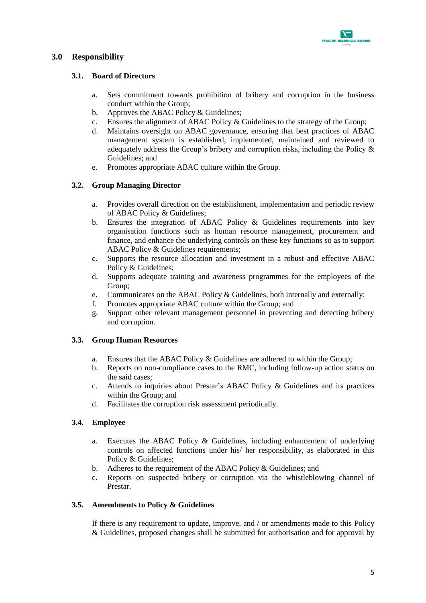

#### <span id="page-7-1"></span><span id="page-7-0"></span>**3.0 Responsibility**

#### **3.1. Board of Directors**

- a. Sets commitment towards prohibition of bribery and corruption in the business conduct within the Group;
- b. Approves the ABAC Policy & Guidelines;
- c. Ensures the alignment of ABAC Policy & Guidelines to the strategy of the Group;
- d. Maintains oversight on ABAC governance, ensuring that best practices of ABAC management system is established, implemented, maintained and reviewed to adequately address the Group's bribery and corruption risks, including the Policy & Guidelines; and
- e. Promotes appropriate ABAC culture within the Group.

#### <span id="page-7-2"></span>**3.2. Group Managing Director**

- a. Provides overall direction on the establishment, implementation and periodic review of ABAC Policy & Guidelines;
- b. Ensures the integration of ABAC Policy & Guidelines requirements into key organisation functions such as human resource management, procurement and finance, and enhance the underlying controls on these key functions so as to support ABAC Policy & Guidelines requirements:
- c. Supports the resource allocation and investment in a robust and effective ABAC Policy & Guidelines;
- d. Supports adequate training and awareness programmes for the employees of the Group;
- e. Communicates on the ABAC Policy & Guidelines, both internally and externally;
- f. Promotes appropriate ABAC culture within the Group; and
- g. Support other relevant management personnel in preventing and detecting bribery and corruption.

#### <span id="page-7-3"></span>**3.3. Group Human Resources**

- a. Ensures that the ABAC Policy & Guidelines are adhered to within the Group;
- b. Reports on non-compliance cases to the RMC, including follow-up action status on the said cases;
- c. Attends to inquiries about Prestar's ABAC Policy & Guidelines and its practices within the Group; and
- d. Facilitates the corruption risk assessment periodically.

#### <span id="page-7-4"></span>**3.4. Employee**

- a. Executes the ABAC Policy & Guidelines, including enhancement of underlying controls on affected functions under his/ her responsibility, as elaborated in this Policy & Guidelines;
- b. Adheres to the requirement of the ABAC Policy & Guidelines; and
- c. Reports on suspected bribery or corruption via the whistleblowing channel of Prestar.

#### <span id="page-7-5"></span>**3.5. Amendments to Policy & Guidelines**

If there is any requirement to update, improve, and / or amendments made to this Policy & Guidelines, proposed changes shall be submitted for authorisation and for approval by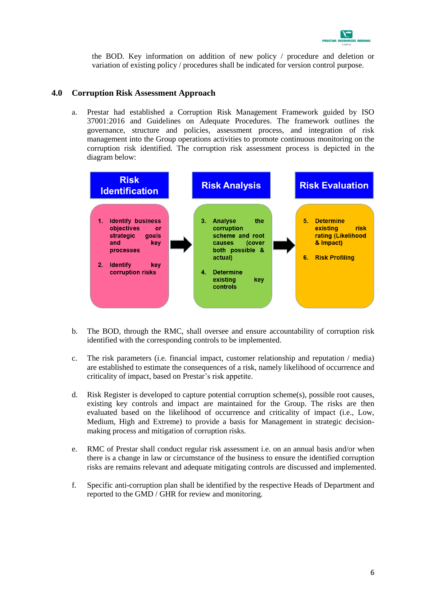

the BOD. Key information on addition of new policy / procedure and deletion or variation of existing policy / procedures shall be indicated for version control purpose.

#### <span id="page-8-0"></span>**4.0 Corruption Risk Assessment Approach**

a. Prestar had established a Corruption Risk Management Framework guided by ISO 37001:2016 and Guidelines on Adequate Procedures. The framework outlines the governance, structure and policies, assessment process, and integration of risk management into the Group operations activities to promote continuous monitoring on the corruption risk identified. The corruption risk assessment process is depicted in the diagram below:



- b. The BOD, through the RMC, shall oversee and ensure accountability of corruption risk identified with the corresponding controls to be implemented.
- c. The risk parameters (i.e. financial impact, customer relationship and reputation / media) are established to estimate the consequences of a risk, namely likelihood of occurrence and criticality of impact, based on Prestar's risk appetite.
- d. Risk Register is developed to capture potential corruption scheme(s), possible root causes, existing key controls and impact are maintained for the Group. The risks are then evaluated based on the likelihood of occurrence and criticality of impact (i.e., Low, Medium, High and Extreme) to provide a basis for Management in strategic decisionmaking process and mitigation of corruption risks.
- e. RMC of Prestar shall conduct regular risk assessment i.e. on an annual basis and/or when there is a change in law or circumstance of the business to ensure the identified corruption risks are remains relevant and adequate mitigating controls are discussed and implemented.
- f. Specific anti-corruption plan shall be identified by the respective Heads of Department and reported to the GMD / GHR for review and monitoring.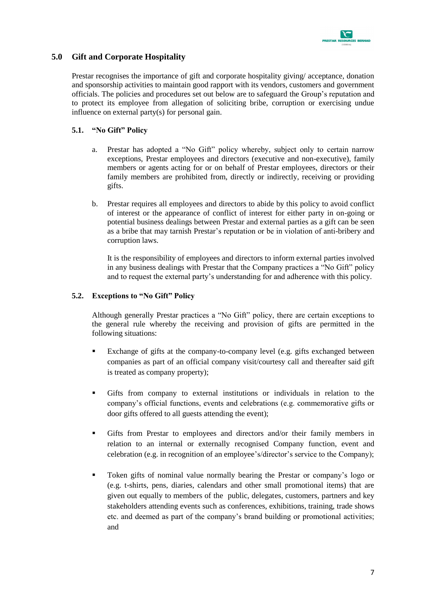

#### <span id="page-9-0"></span>**5.0 Gift and Corporate Hospitality**

Prestar recognises the importance of gift and corporate hospitality giving/ acceptance, donation and sponsorship activities to maintain good rapport with its vendors, customers and government officials. The policies and procedures set out below are to safeguard the Group's reputation and to protect its employee from allegation of soliciting bribe, corruption or exercising undue influence on external party(s) for personal gain.

#### <span id="page-9-1"></span>**5.1. "No Gift" Policy**

- a. Prestar has adopted a "No Gift" policy whereby, subject only to certain narrow exceptions, Prestar employees and directors (executive and non-executive), family members or agents acting for or on behalf of Prestar employees, directors or their family members are prohibited from, directly or indirectly, receiving or providing gifts.
- b. Prestar requires all employees and directors to abide by this policy to avoid conflict of interest or the appearance of conflict of interest for either party in on-going or potential business dealings between Prestar and external parties as a gift can be seen as a bribe that may tarnish Prestar's reputation or be in violation of anti-bribery and corruption laws.

It is the responsibility of employees and directors to inform external parties involved in any business dealings with Prestar that the Company practices a "No Gift" policy and to request the external party's understanding for and adherence with this policy.

#### <span id="page-9-2"></span>**5.2. Exceptions to "No Gift" Policy**

Although generally Prestar practices a "No Gift" policy, there are certain exceptions to the general rule whereby the receiving and provision of gifts are permitted in the following situations:

- Exchange of gifts at the company-to-company level (e.g. gifts exchanged between companies as part of an official company visit/courtesy call and thereafter said gift is treated as company property);
- Gifts from company to external institutions or individuals in relation to the company's official functions, events and celebrations (e.g. commemorative gifts or door gifts offered to all guests attending the event);
- Gifts from Prestar to employees and directors and/or their family members in relation to an internal or externally recognised Company function, event and celebration (e.g. in recognition of an employee's/director's service to the Company);
- Token gifts of nominal value normally bearing the Prestar or company's logo or (e.g. t-shirts, pens, diaries, calendars and other small promotional items) that are given out equally to members of the public, delegates, customers, partners and key stakeholders attending events such as conferences, exhibitions, training, trade shows etc. and deemed as part of the company's brand building or promotional activities; and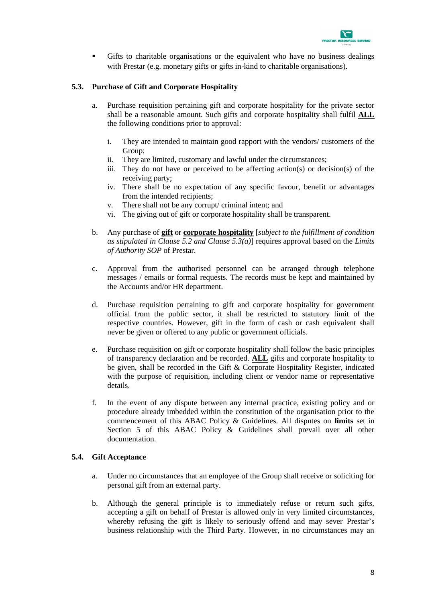

 Gifts to charitable organisations or the equivalent who have no business dealings with Prestar (e.g. monetary gifts or gifts in-kind to charitable organisations).

#### <span id="page-10-0"></span>**5.3. Purchase of Gift and Corporate Hospitality**

- a. Purchase requisition pertaining gift and corporate hospitality for the private sector shall be a reasonable amount. Such gifts and corporate hospitality shall fulfil **ALL** the following conditions prior to approval:
	- i. They are intended to maintain good rapport with the vendors/ customers of the Group;
	- ii. They are limited, customary and lawful under the circumstances;
	- iii. They do not have or perceived to be affecting action(s) or decision(s) of the receiving party;
	- iv. There shall be no expectation of any specific favour, benefit or advantages from the intended recipients;
	- v. There shall not be any corrupt/ criminal intent; and
	- vi. The giving out of gift or corporate hospitality shall be transparent.
- b. Any purchase of **gift** or **corporate hospitality** [*subject to the fulfillment of condition as stipulated in Clause 5.2 and Clause 5.3(a)*] requires approval based on the *Limits of Authority SOP* of Prestar.
- c. Approval from the authorised personnel can be arranged through telephone messages / emails or formal requests. The records must be kept and maintained by the Accounts and/or HR department.
- d. Purchase requisition pertaining to gift and corporate hospitality for government official from the public sector, it shall be restricted to statutory limit of the respective countries. However, gift in the form of cash or cash equivalent shall never be given or offered to any public or government officials.
- e. Purchase requisition on gift or corporate hospitality shall follow the basic principles of transparency declaration and be recorded. **ALL** gifts and corporate hospitality to be given, shall be recorded in the Gift & Corporate Hospitality Register, indicated with the purpose of requisition, including client or vendor name or representative details.
- f. In the event of any dispute between any internal practice, existing policy and or procedure already imbedded within the constitution of the organisation prior to the commencement of this ABAC Policy & Guidelines. All disputes on **limits** set in Section 5 of this ABAC Policy & Guidelines shall prevail over all other documentation.

#### <span id="page-10-1"></span>**5.4. Gift Acceptance**

- a. Under no circumstances that an employee of the Group shall receive or soliciting for personal gift from an external party.
- b. Although the general principle is to immediately refuse or return such gifts, accepting a gift on behalf of Prestar is allowed only in very limited circumstances, whereby refusing the gift is likely to seriously offend and may sever Prestar's business relationship with the Third Party. However, in no circumstances may an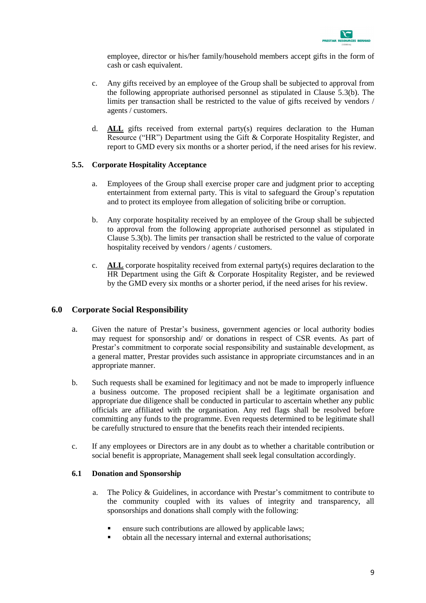

employee, director or his/her family/household members accept gifts in the form of cash or cash equivalent.

- c. Any gifts received by an employee of the Group shall be subjected to approval from the following appropriate authorised personnel as stipulated in Clause 5.3(b). The limits per transaction shall be restricted to the value of gifts received by vendors / agents / customers.
- d. **ALL** gifts received from external party(s) requires declaration to the Human Resource ("HR") Department using the Gift & Corporate Hospitality Register, and report to GMD every six months or a shorter period, if the need arises for his review.

#### <span id="page-11-0"></span>**5.5. Corporate Hospitality Acceptance**

- a. Employees of the Group shall exercise proper care and judgment prior to accepting entertainment from external party. This is vital to safeguard the Group's reputation and to protect its employee from allegation of soliciting bribe or corruption.
- b. Any corporate hospitality received by an employee of the Group shall be subjected to approval from the following appropriate authorised personnel as stipulated in Clause 5.3(b). The limits per transaction shall be restricted to the value of corporate hospitality received by vendors / agents / customers.
- c. **ALL** corporate hospitality received from external party(s) requires declaration to the HR Department using the Gift & Corporate Hospitality Register, and be reviewed by the GMD every six months or a shorter period, if the need arises for his review.

#### <span id="page-11-1"></span>**6.0 Corporate Social Responsibility**

- a. Given the nature of Prestar's business, government agencies or local authority bodies may request for sponsorship and/ or donations in respect of CSR events. As part of Prestar's commitment to corporate social responsibility and sustainable development, as a general matter, Prestar provides such assistance in appropriate circumstances and in an appropriate manner.
- b. Such requests shall be examined for legitimacy and not be made to improperly influence a business outcome. The proposed recipient shall be a legitimate organisation and appropriate due diligence shall be conducted in particular to ascertain whether any public officials are affiliated with the organisation. Any red flags shall be resolved before committing any funds to the programme. Even requests determined to be legitimate shall be carefully structured to ensure that the benefits reach their intended recipients.
- c. If any employees or Directors are in any doubt as to whether a charitable contribution or social benefit is appropriate, Management shall seek legal consultation accordingly.

#### <span id="page-11-2"></span>**6.1 Donation and Sponsorship**

- a. The Policy & Guidelines, in accordance with Prestar's commitment to contribute to the community coupled with its values of integrity and transparency, all sponsorships and donations shall comply with the following:
	- **Example 3** ensure such contributions are allowed by applicable laws;
	- obtain all the necessary internal and external authorisations;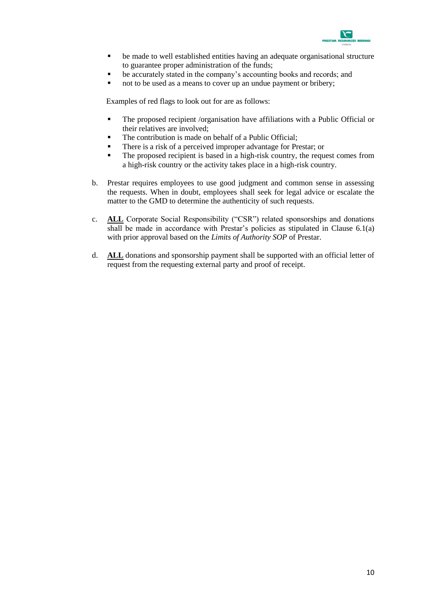

- be made to well established entities having an adequate organisational structure to guarantee proper administration of the funds;
- be accurately stated in the company's accounting books and records; and
- not to be used as a means to cover up an undue payment or bribery;

Examples of red flags to look out for are as follows:

- The proposed recipient /organisation have affiliations with a Public Official or their relatives are involved;
- The contribution is made on behalf of a Public Official;
- There is a risk of a perceived improper advantage for Prestar; or
- The proposed recipient is based in a high-risk country, the request comes from a high-risk country or the activity takes place in a high-risk country.
- b. Prestar requires employees to use good judgment and common sense in assessing the requests. When in doubt, employees shall seek for legal advice or escalate the matter to the GMD to determine the authenticity of such requests.
- c. **ALL** Corporate Social Responsibility ("CSR") related sponsorships and donations shall be made in accordance with Prestar's policies as stipulated in Clause 6.1(a) with prior approval based on the *Limits of Authority SOP* of Prestar.
- d. **ALL** donations and sponsorship payment shall be supported with an official letter of request from the requesting external party and proof of receipt.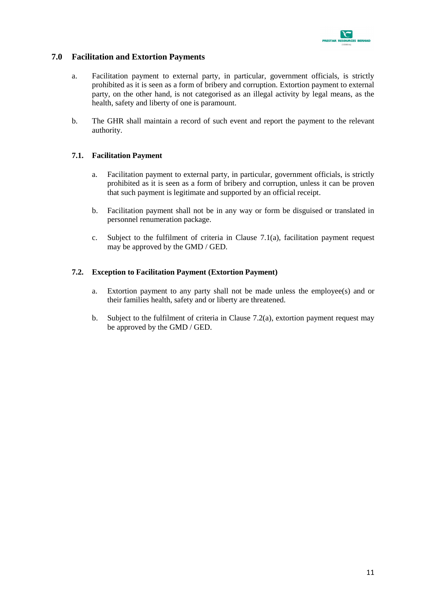

#### <span id="page-13-0"></span>**7.0 Facilitation and Extortion Payments**

- a. Facilitation payment to external party, in particular, government officials, is strictly prohibited as it is seen as a form of bribery and corruption. Extortion payment to external party, on the other hand, is not categorised as an illegal activity by legal means, as the health, safety and liberty of one is paramount.
- b. The GHR shall maintain a record of such event and report the payment to the relevant authority.

#### <span id="page-13-1"></span>**7.1. Facilitation Payment**

- a. Facilitation payment to external party, in particular, government officials, is strictly prohibited as it is seen as a form of bribery and corruption, unless it can be proven that such payment is legitimate and supported by an official receipt.
- b. Facilitation payment shall not be in any way or form be disguised or translated in personnel renumeration package.
- c. Subject to the fulfilment of criteria in Clause 7.1(a), facilitation payment request may be approved by the GMD / GED.

#### <span id="page-13-2"></span>**7.2. Exception to Facilitation Payment (Extortion Payment)**

- a. Extortion payment to any party shall not be made unless the employee(s) and or their families health, safety and or liberty are threatened.
- b. Subject to the fulfilment of criteria in Clause 7.2(a), extortion payment request may be approved by the GMD / GED.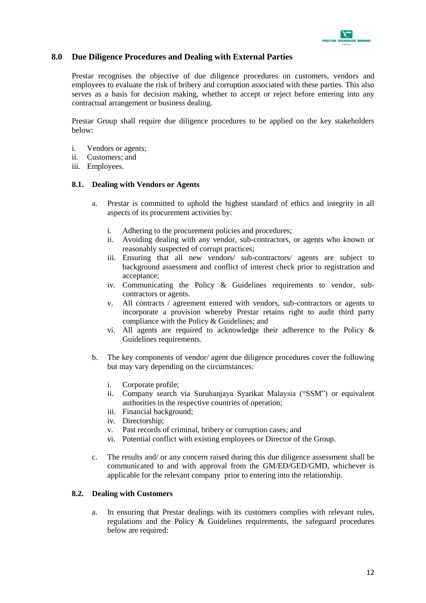

#### <span id="page-14-0"></span>**8.0 Due Diligence Procedures and Dealing with External Parties**

Prestar recognises the objective of due diligence procedures on customers, vendors and employees to evaluate the risk of bribery and corruption associated with these parties. This also serves as a basis for decision making, whether to accept or reject before entering into any contractual arrangement or business dealing.

Prestar Group shall require due diligence procedures to be applied on the key stakeholders below:

- i. Vendors or agents;
- ii. Customers; and
- iii. Employees.

#### <span id="page-14-1"></span>**8.1. Dealing with Vendors or Agents**

- a. Prestar is committed to uphold the highest standard of ethics and integrity in all aspects of its procurement activities by:
	- i. Adhering to the procurement policies and procedures;
	- ii. Avoiding dealing with any vendor, sub-contractors, or agents who known or reasonably suspected of corrupt practices;
	- iii. Ensuring that all new vendors/ sub-contractors/ agents are subject to background assessment and conflict of interest check prior to registration and acceptance;
	- iv. Communicating the Policy & Guidelines requirements to vendor, subcontractors or agents.
	- v. All contracts / agreement entered with vendors, sub-contractors or agents to incorporate a provision whereby Prestar retains right to audit third party compliance with the Policy & Guidelines; and
	- vi. All agents are required to acknowledge their adherence to the Policy & Guidelines requirements.
- b. The key components of vendor/ agent due diligence procedures cover the following but may vary depending on the circumstances:
	- i. Corporate profile;<br>ii. Company search
	- Company search via Suruhanjaya Syarikat Malaysia ("SSM") or equivalent authorities in the respective countries of operation;
	- iii. Financial background;
	- iv. Directorship;
	- v. Past records of criminal, bribery or corruption cases; and
	- vi. Potential conflict with existing employees or Director of the Group.
- c. The results and/ or any concern raised during this due diligence assessment shall be communicated to and with approval from the GM/ED/GED/GMD, whichever is applicable for the relevant company prior to entering into the relationship.

#### <span id="page-14-2"></span>**8.2. Dealing with Customers**

a. In ensuring that Prestar dealings with its customers complies with relevant rules, regulations and the Policy & Guidelines requirements, the safeguard procedures below are required: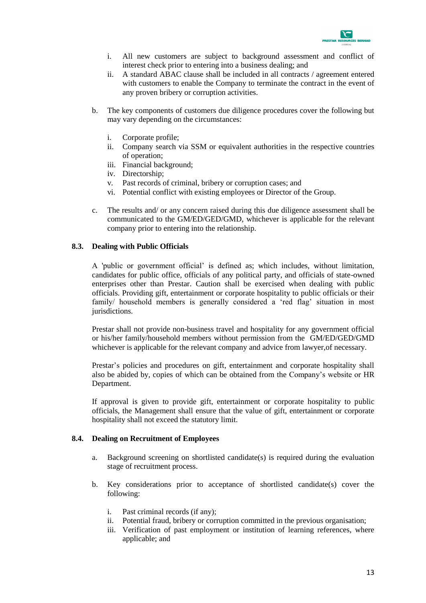

- i. All new customers are subject to background assessment and conflict of interest check prior to entering into a business dealing; and
- ii. A standard ABAC clause shall be included in all contracts / agreement entered with customers to enable the Company to terminate the contract in the event of any proven bribery or corruption activities.
- b. The key components of customers due diligence procedures cover the following but may vary depending on the circumstances:
	- i. Corporate profile;
	- ii. Company search via SSM or equivalent authorities in the respective countries of operation;
	- iii. Financial background;
	- iv. Directorship;
	- v. Past records of criminal, bribery or corruption cases; and
	- vi. Potential conflict with existing employees or Director of the Group.
- c. The results and/ or any concern raised during this due diligence assessment shall be communicated to the GM/ED/GED/GMD, whichever is applicable for the relevant company prior to entering into the relationship.

#### <span id="page-15-0"></span>**8.3. Dealing with Public Officials**

A 'public or government official' is defined as; which includes, without limitation, candidates for public office, officials of any political party, and officials of state-owned enterprises other than Prestar. Caution shall be exercised when dealing with public officials. Providing gift, entertainment or corporate hospitality to public officials or their family/ household members is generally considered a 'red flag' situation in most jurisdictions.

Prestar shall not provide non-business travel and hospitality for any government official or his/her family/household members without permission from the GM/ED/GED/GMD whichever is applicable for the relevant company and advice from lawyer,of necessary.

Prestar's policies and procedures on gift, entertainment and corporate hospitality shall also be abided by, copies of which can be obtained from the Company's website or HR Department.

If approval is given to provide gift, entertainment or corporate hospitality to public officials, the Management shall ensure that the value of gift, entertainment or corporate hospitality shall not exceed the statutory limit.

#### <span id="page-15-1"></span>**8.4. Dealing on Recruitment of Employees**

- a. Background screening on shortlisted candidate(s) is required during the evaluation stage of recruitment process.
- b. Key considerations prior to acceptance of shortlisted candidate(s) cover the following:
	- i. Past criminal records (if any);
	- ii. Potential fraud, bribery or corruption committed in the previous organisation;
	- iii. Verification of past employment or institution of learning references, where applicable; and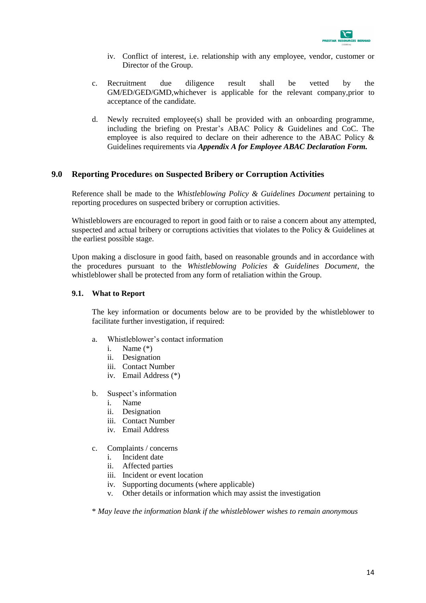

- iv. Conflict of interest, i.e. relationship with any employee, vendor, customer or Director of the Group.
- c. Recruitment due diligence result shall be vetted by the GM/ED/GED/GMD,whichever is applicable for the relevant company,prior to acceptance of the candidate.
- d. Newly recruited employee(s) shall be provided with an onboarding programme, including the briefing on Prestar's ABAC Policy & Guidelines and CoC. The employee is also required to declare on their adherence to the ABAC Policy & Guidelines requirements via *Appendix A for Employee ABAC Declaration Form.*

#### <span id="page-16-0"></span>**9.0 Reporting Procedure**s **on Suspected Bribery or Corruption Activities**

Reference shall be made to the *Whistleblowing Policy & Guidelines Document* pertaining to reporting procedures on suspected bribery or corruption activities.

Whistleblowers are encouraged to report in good faith or to raise a concern about any attempted, suspected and actual bribery or corruptions activities that violates to the Policy & Guidelines at the earliest possible stage.

Upon making a disclosure in good faith, based on reasonable grounds and in accordance with the procedures pursuant to the *Whistleblowing Policies & Guidelines Document*, the whistleblower shall be protected from any form of retaliation within the Group.

#### <span id="page-16-1"></span>**9.1. What to Report**

The key information or documents below are to be provided by the whistleblower to facilitate further investigation, if required:

- a. Whistleblower's contact information
	- i. Name (\*)<br>ii. Designatie
	- Designation
	- iii. Contact Number
	- iv. Email Address (\*)
- b. Suspect's information
	- i. Name
	- ii. Designation
	- iii. Contact Number
	- iv. Email Address
- c. Complaints / concerns
	- i. Incident date<br>ii. Affected nart
	- Affected parties
	- iii. Incident or event location
	- iv. Supporting documents (where applicable)
	- v. Other details or information which may assist the investigation

\* *May leave the information blank if the whistleblower wishes to remain anonymous*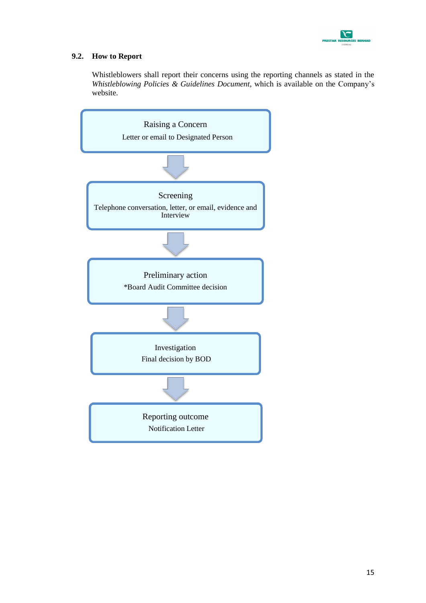

#### <span id="page-17-0"></span>**9.2. How to Report**

Whistleblowers shall report their concerns using the reporting channels as stated in the *Whistleblowing Policies & Guidelines Document*, which is available on the Company's website.

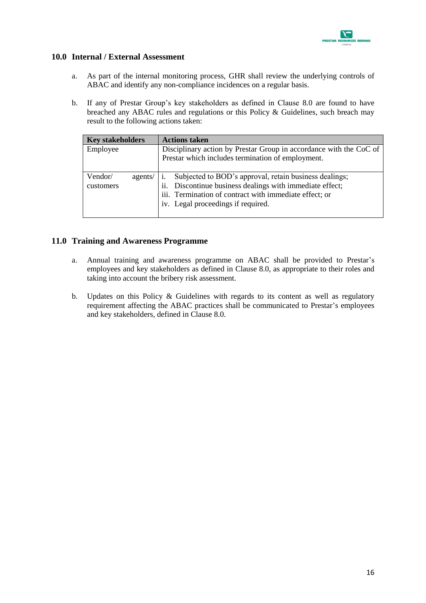

#### <span id="page-18-0"></span>**10.0 Internal / External Assessment**

- a. As part of the internal monitoring process, GHR shall review the underlying controls of ABAC and identify any non-compliance incidences on a regular basis.
- b. If any of Prestar Group's key stakeholders as defined in Clause 8.0 are found to have breached any ABAC rules and regulations or this Policy & Guidelines, such breach may result to the following actions taken:

| <b>Key stakeholders</b> | <b>Actions taken</b>                                               |  |  |
|-------------------------|--------------------------------------------------------------------|--|--|
| Employee                | Disciplinary action by Prestar Group in accordance with the CoC of |  |  |
|                         | Prestar which includes termination of employment.                  |  |  |
| Vendor/<br>agents/      | Subjected to BOD's approval, retain business dealings;             |  |  |
| customers               | ii. Discontinue business dealings with immediate effect;           |  |  |
|                         | iii. Termination of contract with immediate effect; or             |  |  |
|                         | iv. Legal proceedings if required.                                 |  |  |
|                         |                                                                    |  |  |

#### <span id="page-18-1"></span>**11.0 Training and Awareness Programme**

- a. Annual training and awareness programme on ABAC shall be provided to Prestar's employees and key stakeholders as defined in Clause 8.0, as appropriate to their roles and taking into account the bribery risk assessment.
- b. Updates on this Policy & Guidelines with regards to its content as well as regulatory requirement affecting the ABAC practices shall be communicated to Prestar's employees and key stakeholders, defined in Clause 8.0.